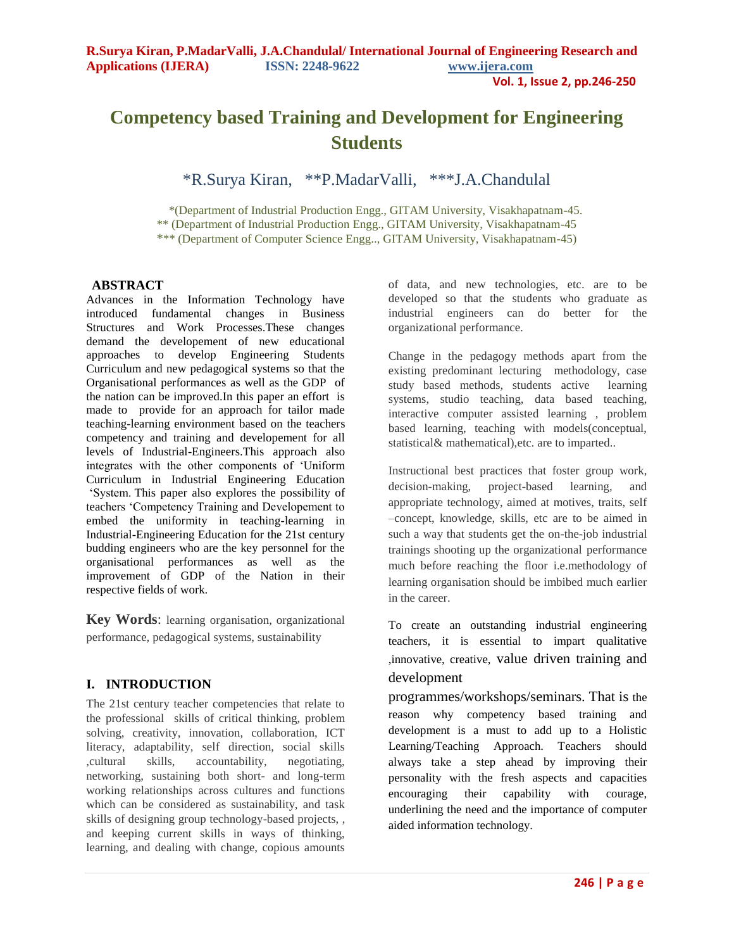# **Competency based Training and Development for Engineering Students**

\*R.Surya Kiran, \*\*P.MadarValli, \*\*\*J.A.Chandulal

 \*(Department of Industrial Production Engg., GITAM University, Visakhapatnam-45. \*\* (Department of Industrial Production Engg., GITAM University, Visakhapatnam-45 \*\*\* (Department of Computer Science Engg.., GITAM University, Visakhapatnam-45)

### **ABSTRACT**

Advances in the Information Technology have introduced fundamental changes in Business Structures and Work Processes.These changes demand the developement of new educational approaches to develop Engineering Students Curriculum and new pedagogical systems so that the Organisational performances as well as the GDP of the nation can be improved.In this paper an effort is made to provide for an approach for tailor made teaching-learning environment based on the teachers competency and training and developement for all levels of Industrial-Engineers.This approach also integrates with the other components of "Uniform Curriculum in Industrial Engineering Education "System. This paper also explores the possibility of teachers "Competency Training and Developement to embed the uniformity in teaching-learning in Industrial-Engineering Education for the 21st century budding engineers who are the key personnel for the organisational performances as well as the improvement of GDP of the Nation in their respective fields of work.

**Key Words**: learning organisation, organizational performance, pedagogical systems, sustainability

### **I. INTRODUCTION**

The 21st century teacher competencies that relate to the professional skills of critical thinking, problem solving, creativity, innovation, collaboration, ICT literacy, adaptability, self direction, social skills ,cultural skills, accountability, negotiating, networking, sustaining both short- and long-term working relationships across cultures and functions which can be considered as sustainability, and task skills of designing group technology-based projects, , and keeping current skills in ways of thinking, learning, and dealing with change, copious amounts of data, and new technologies, etc. are to be developed so that the students who graduate as industrial engineers can do better for the organizational performance.

Change in the pedagogy methods apart from the existing predominant lecturing methodology, case study based methods, students active learning systems, studio teaching, data based teaching, interactive computer assisted learning , problem based learning, teaching with models(conceptual, statistical& mathematical),etc. are to imparted..

Instructional best practices that foster group work, decision-making, project-based learning, and appropriate technology, aimed at motives, traits, self –concept, knowledge, skills, etc are to be aimed in such a way that students get the on-the-job industrial trainings shooting up the organizational performance much before reaching the floor i.e.methodology of learning organisation should be imbibed much earlier in the career.

To create an outstanding industrial engineering teachers, it is essential to impart qualitative ,innovative, creative, value driven training and development

programmes/workshops/seminars. That is the reason why competency based training and development is a must to add up to a Holistic Learning/Teaching Approach. Teachers should always take a step ahead by improving their personality with the fresh aspects and capacities encouraging their capability with courage, underlining the need and the importance of computer aided information technology.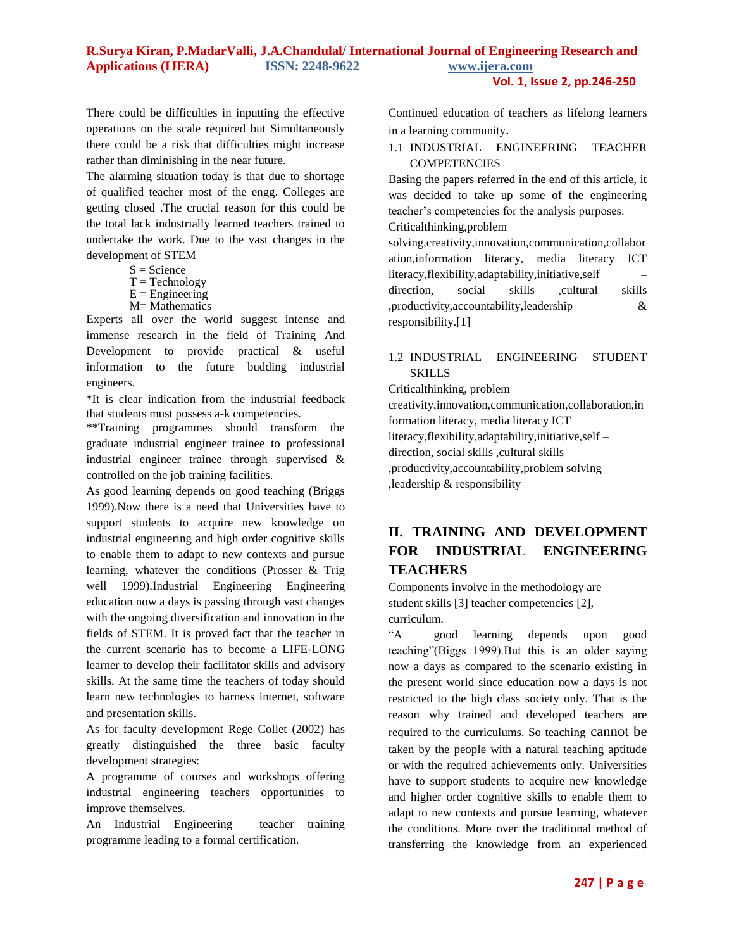#### **R.Surya Kiran, P.MadarValli, J.A.Chandulal/ International Journal of Engineering Research and Applications (IJERA) ISSN: 2248-9622 www.ijera.com Vol. 1, Issue 2, pp.246-250**

There could be difficulties in inputting the effective operations on the scale required but Simultaneously there could be a risk that difficulties might increase rather than diminishing in the near future.

The alarming situation today is that due to shortage of qualified teacher most of the engg. Colleges are getting closed .The crucial reason for this could be the total lack industrially learned teachers trained to undertake the work. Due to the vast changes in the development of STEM

- $S = Science$
- $T = Technology$
- $E =$ Engineering
- M= Mathematics

Experts all over the world suggest intense and immense research in the field of Training And Development to provide practical & useful information to the future budding industrial engineers.

\*It is clear indication from the industrial feedback that students must possess a-k competencies.

\*\*Training programmes should transform the graduate industrial engineer trainee to professional industrial engineer trainee through supervised & controlled on the job training facilities.

As good learning depends on good teaching (Briggs 1999).Now there is a need that Universities have to support students to acquire new knowledge on industrial engineering and high order cognitive skills to enable them to adapt to new contexts and pursue learning, whatever the conditions (Prosser & Trig well 1999).Industrial Engineering Engineering education now a days is passing through vast changes with the ongoing diversification and innovation in the fields of STEM. It is proved fact that the teacher in the current scenario has to become a LIFE-LONG learner to develop their facilitator skills and advisory skills. At the same time the teachers of today should learn new technologies to harness internet, software and presentation skills.

As for faculty development Rege Collet (2002) has greatly distinguished the three basic faculty development strategies:

A programme of courses and workshops offering industrial engineering teachers opportunities to improve themselves.

An Industrial Engineering teacher training programme leading to a formal certification.

Continued education of teachers as lifelong learners in a learning community.

#### 1.1 INDUSTRIAL ENGINEERING TEACHER **COMPETENCIES**

Basing the papers referred in the end of this article, it was decided to take up some of the engineering teacher"s competencies for the analysis purposes.

Criticalthinking,problem

solving,creativity,innovation,communication,collabor ation,information literacy, media literacy ICT literacy,flexibility,adaptability,initiative,self – direction, social skills ,cultural skills ,productivity,accountability,leadership & responsibility.[1]

### 1.2 INDUSTRIAL ENGINEERING STUDENT SKILLS

Criticalthinking, problem

creativity,innovation,communication,collaboration,in formation literacy, media literacy ICT literacy,flexibility,adaptability,initiative,self – direction, social skills ,cultural skills ,productivity,accountability,problem solving ,leadership & responsibility

# **II. TRAINING AND DEVELOPMENT FOR INDUSTRIAL ENGINEERING TEACHERS**

Components involve in the methodology are – student skills [3] teacher competencies [2], curriculum.

"A good learning depends upon good teaching"(Biggs 1999).But this is an older saying now a days as compared to the scenario existing in the present world since education now a days is not restricted to the high class society only. That is the reason why trained and developed teachers are required to the curriculums. So teaching cannot be taken by the people with a natural teaching aptitude or with the required achievements only. Universities have to support students to acquire new knowledge and higher order cognitive skills to enable them to adapt to new contexts and pursue learning, whatever the conditions. More over the traditional method of transferring the knowledge from an experienced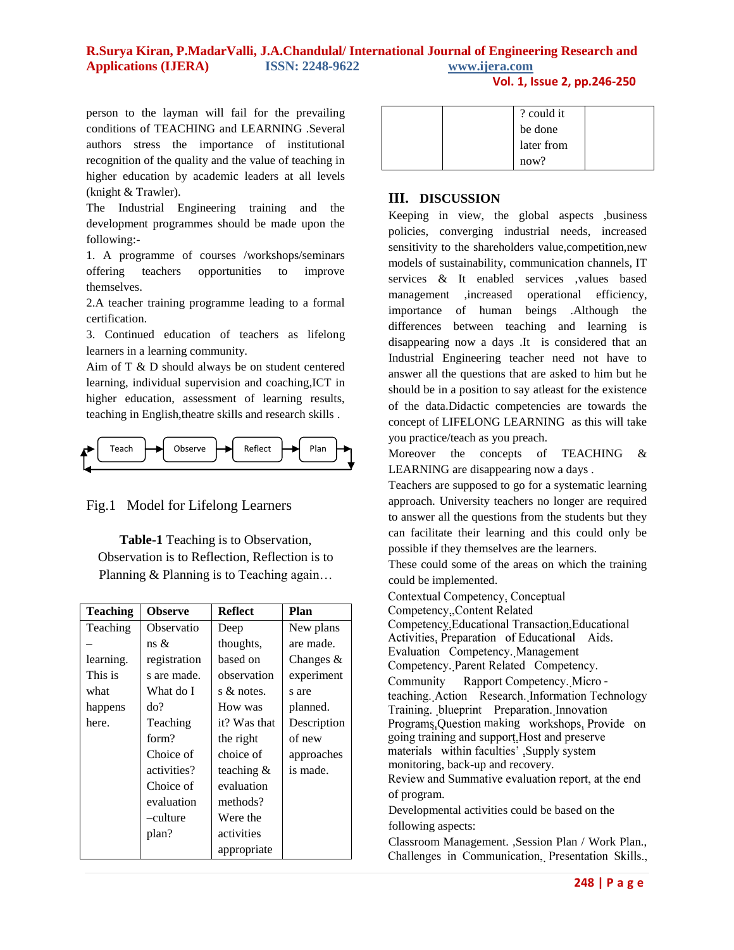## **R.Surya Kiran, P.MadarValli, J.A.Chandulal/ International Journal of Engineering Research and Applications (IJERA) ISSN: 2248-9622 www.ijera.com**

**Vol. 1, Issue 2, pp.246-250**

person to the layman will fail for the prevailing conditions of TEACHING and LEARNING .Several authors stress the importance of institutional recognition of the quality and the value of teaching in higher education by academic leaders at all levels (knight & Trawler).

The Industrial Engineering training and the development programmes should be made upon the following:-

1. A programme of courses /workshops/seminars offering teachers opportunities to improve themselves.

2.A teacher training programme leading to a formal certification.

3. Continued education of teachers as lifelong learners in a learning community.

Aim of T & D should always be on student centered learning, individual supervision and coaching,ICT in higher education, assessment of learning results, teaching in English,theatre skills and research skills .



Fig.1 Model for Lifelong Learners

**Table-1** Teaching is to Observation, Observation is to Reflection, Reflection is to Planning & Planning is to Teaching again…

| <b>Teaching</b> | <b>Observe</b> | <b>Reflect</b> | Plan        |
|-----------------|----------------|----------------|-------------|
| Teaching        | Observatio     | Deep           | New plans   |
|                 | ns &           | thoughts,      | are made.   |
| learning.       | registration   | based on       | Changes $&$ |
| This is         | s are made.    | observation    | experiment  |
| what            | What do I      | s & notes.     | s are       |
| happens         | do?            | How was        | planned.    |
| here.           | Teaching       | it? Was that   | Description |
|                 | form?          | the right      | of new      |
|                 | Choice of      | choice of      | approaches  |
|                 | activities?    | teaching $\&$  | is made.    |
|                 | Choice of      | evaluation     |             |
|                 | evaluation     | methods?       |             |
|                 | -culture       | Were the       |             |
|                 | plan?          | activities     |             |
|                 |                | appropriate    |             |

|  | ? could it |  |
|--|------------|--|
|  | be done    |  |
|  | later from |  |
|  | now?       |  |

## **III. DISCUSSION**

Keeping in view, the global aspects ,business policies, converging industrial needs, increased sensitivity to the shareholders value, competition, new models of sustainability, communication channels, IT services & It enabled services ,values based management ,increased operational efficiency, importance of human beings .Although the differences between teaching and learning is disappearing now a days .It is considered that an Industrial Engineering teacher need not have to answer all the questions that are asked to him but he should be in a position to say atleast for the existence of the data.Didactic competencies are towards the concept of LIFELONG LEARNING as this will take you practice/teach as you preach.

Moreover the concepts of TEACHING & LEARNING are disappearing now a days .

Teachers are supposed to go for a systematic learning approach. University teachers no longer are required to answer all the questions from the students but they can facilitate their learning and this could only be possible if they themselves are the learners.

These could some of the areas on which the training could be implemented.

Contextual Competency, Conceptual Competency, Content Related Competency, Educational Transaction, Educational Activities, Preparation of Educational Aids. Evaluation Competency. Management Competency. Parent Related Competency. Community Rapport Competency. Microteaching. Action Research. Information Technology Training. blueprint Preparation. Innovation Programs Question making workshops. Provide on going training and support. Host and preserve materials within faculties' , Supply system monitoring, back-up and recovery. Review and Summative evaluation report, at the end of program. Developmental activities could be based on the

following aspects:

Classroom Management. ,Session Plan / Work Plan., Challenges in Communication, Presentation Skills.,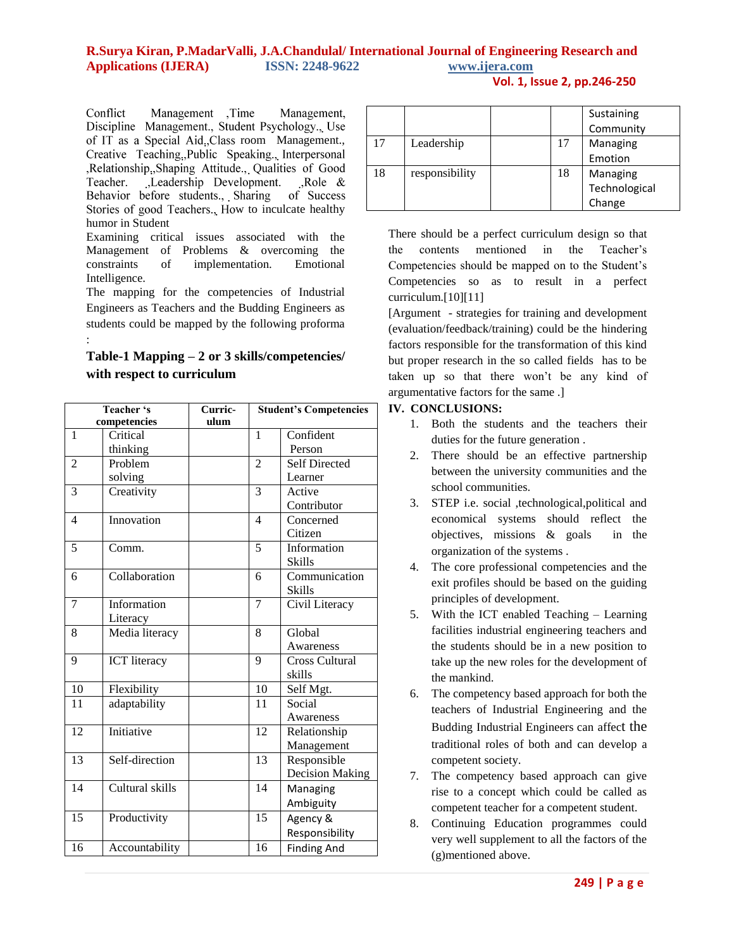# **R.Surya Kiran, P.MadarValli, J.A.Chandulal/ International Journal of Engineering Research and Applications (IJERA) ISSN: 2248-9622 www.ijera.com**

**Vol. 1, Issue 2, pp.246-250**

Conflict Management, Time Management, Discipline Management., Student Psychology., Use of IT as a Special Aid, Class room Management., Creative Teaching, Public Speaking., Interpersonal ,Relationship.,Shaping Attitude., Qualities of Good Teacher. Leadership Development. Role &<br>Behavior before students., Sharing of Success Stories of good Teachers., How to inculcate healthy humor in Student

Examining critical issues associated with the Management of Problems & overcoming the constraints of implementation. Emotional Intelligence.

The mapping for the competencies of Industrial Engineers as Teachers and the Budding Engineers as students could be mapped by the following proforma :

## **Table-1 Mapping – 2 or 3 skills/competencies/ with respect to curriculum**

| Teacher 's<br>competencies |                     | Curric-<br>ulum |                 | <b>Student's Competencies</b> |  |
|----------------------------|---------------------|-----------------|-----------------|-------------------------------|--|
| 1                          | Critical            |                 | $\mathbf{1}$    | Confident                     |  |
|                            | thinking            |                 |                 | Person                        |  |
| $\overline{2}$             | Problem             |                 | $\overline{2}$  | <b>Self Directed</b>          |  |
|                            | solving             |                 |                 | Learner                       |  |
| 3                          | Creativity          |                 | 3               | Active                        |  |
|                            |                     |                 |                 | Contributor                   |  |
| 4                          | Innovation          |                 | $\overline{4}$  | Concerned                     |  |
|                            |                     |                 |                 | Citizen                       |  |
| 5                          | Comm.               |                 | 5               | Information                   |  |
|                            |                     |                 |                 | <b>Skills</b>                 |  |
| 6                          | Collaboration       |                 | 6               | Communication                 |  |
|                            |                     |                 |                 | <b>Skills</b>                 |  |
| 7                          | Information         |                 | 7               | Civil Literacy                |  |
|                            | Literacy            |                 |                 |                               |  |
| 8                          | Media literacy      |                 | 8               | Global                        |  |
|                            |                     |                 |                 | Awareness                     |  |
| 9                          | <b>ICT</b> literacy |                 | 9               | Cross Cultural                |  |
|                            |                     |                 |                 | skills                        |  |
| 10                         | Flexibility         |                 | 10              | Self Mgt.                     |  |
| 11                         | adaptability        |                 | 11              | Social                        |  |
|                            |                     |                 |                 | Awareness                     |  |
| 12                         | Initiative          |                 | $\overline{12}$ | Relationship                  |  |
|                            |                     |                 |                 | Management                    |  |
| 13                         | Self-direction      |                 | 13              | Responsible                   |  |
|                            |                     |                 |                 | <b>Decision Making</b>        |  |
| 14                         | Cultural skills     |                 | 14              | Managing                      |  |
|                            |                     |                 |                 | Ambiguity                     |  |
| 15                         | Productivity        |                 | $\overline{15}$ | Agency &                      |  |
|                            |                     |                 |                 | Responsibility                |  |
| 16                         | Accountability      |                 | 16              | <b>Finding And</b>            |  |

|    |                |    | Sustaining    |
|----|----------------|----|---------------|
|    |                |    | Community     |
| 17 | Leadership     | 17 | Managing      |
|    |                |    | Emotion       |
| 18 | responsibility | 18 | Managing      |
|    |                |    | Technological |
|    |                |    | Change        |

There should be a perfect curriculum design so that the contents mentioned in the Teacher"s Competencies should be mapped on to the Student"s Competencies so as to result in a perfect curriculum.[10][11]

[Argument - strategies for training and development (evaluation/feedback/training) could be the hindering factors responsible for the transformation of this kind but proper research in the so called fields has to be taken up so that there won't be any kind of argumentative factors for the same .]

## **IV. CONCLUSIONS:**

- 1. Both the students and the teachers their duties for the future generation .
- 2. There should be an effective partnership between the university communities and the school communities.
- 3. STEP i.e. social ,technological,political and economical systems should reflect the objectives, missions & goals in the organization of the systems .
- 4. The core professional competencies and the exit profiles should be based on the guiding principles of development.
- 5. With the ICT enabled Teaching Learning facilities industrial engineering teachers and the students should be in a new position to take up the new roles for the development of the mankind.
- 6. The competency based approach for both the teachers of Industrial Engineering and the Budding Industrial Engineers can affect the traditional roles of both and can develop a competent society.
- 7. The competency based approach can give rise to a concept which could be called as competent teacher for a competent student.
- 8. Continuing Education programmes could very well supplement to all the factors of the (g)mentioned above.